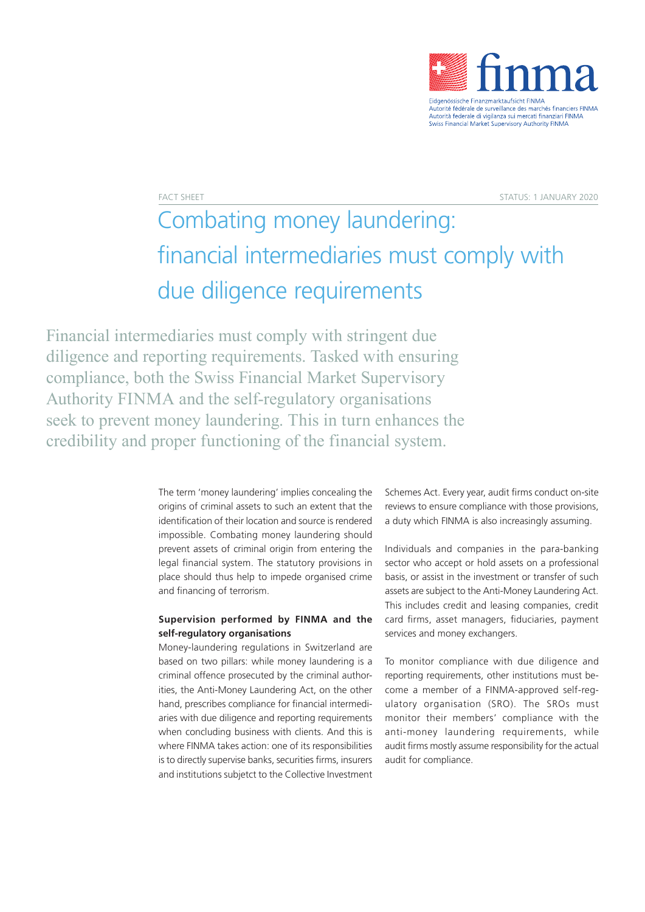

FACT SHEET STATUS: 1 JANUARY 2020

## Combating money laundering: financial intermediaries must comply with due diligence requirements

Financial intermediaries must comply with stringent due diligence and reporting requirements. Tasked with ensuring compliance, both the Swiss Financial Market Supervisory Authority FINMA and the self-regulatory organisations seek to prevent money laundering. This in turn enhances the credibility and proper functioning of the financial system.

> The term 'money laundering' implies concealing the origins of criminal assets to such an extent that the identification of their location and source is rendered impossible. Combating money laundering should prevent assets of criminal origin from entering the legal financial system. The statutory provisions in place should thus help to impede organised crime and financing of terrorism.

## **Supervision performed by FINMA and the self-regulatory organisations**

Money-laundering regulations in Switzerland are based on two pillars: while money laundering is a criminal offence prosecuted by the criminal authorities, the Anti-Money Laundering Act, on the other hand, prescribes compliance for financial intermediaries with due diligence and reporting requirements when concluding business with clients. And this is where FINMA takes action: one of its responsibilities is to directly supervise banks, securities firms, insurers and institutions subjetct to the Collective Investment

Schemes Act. Every year, audit firms conduct on-site reviews to ensure compliance with those provisions, a duty which FINMA is also increasingly assuming.

Individuals and companies in the para-banking sector who accept or hold assets on a professional basis, or assist in the investment or transfer of such assets are subject to the Anti-Money Laundering Act. This includes credit and leasing companies, credit card firms, asset managers, fiduciaries, payment services and money exchangers.

To monitor compliance with due diligence and reporting requirements, other institutions must become a member of a FINMA-approved self-regulatory organisation (SRO). The SROs must monitor their members' compliance with the anti-money laundering requirements, while audit firms mostly assume responsibility for the actual audit for compliance.